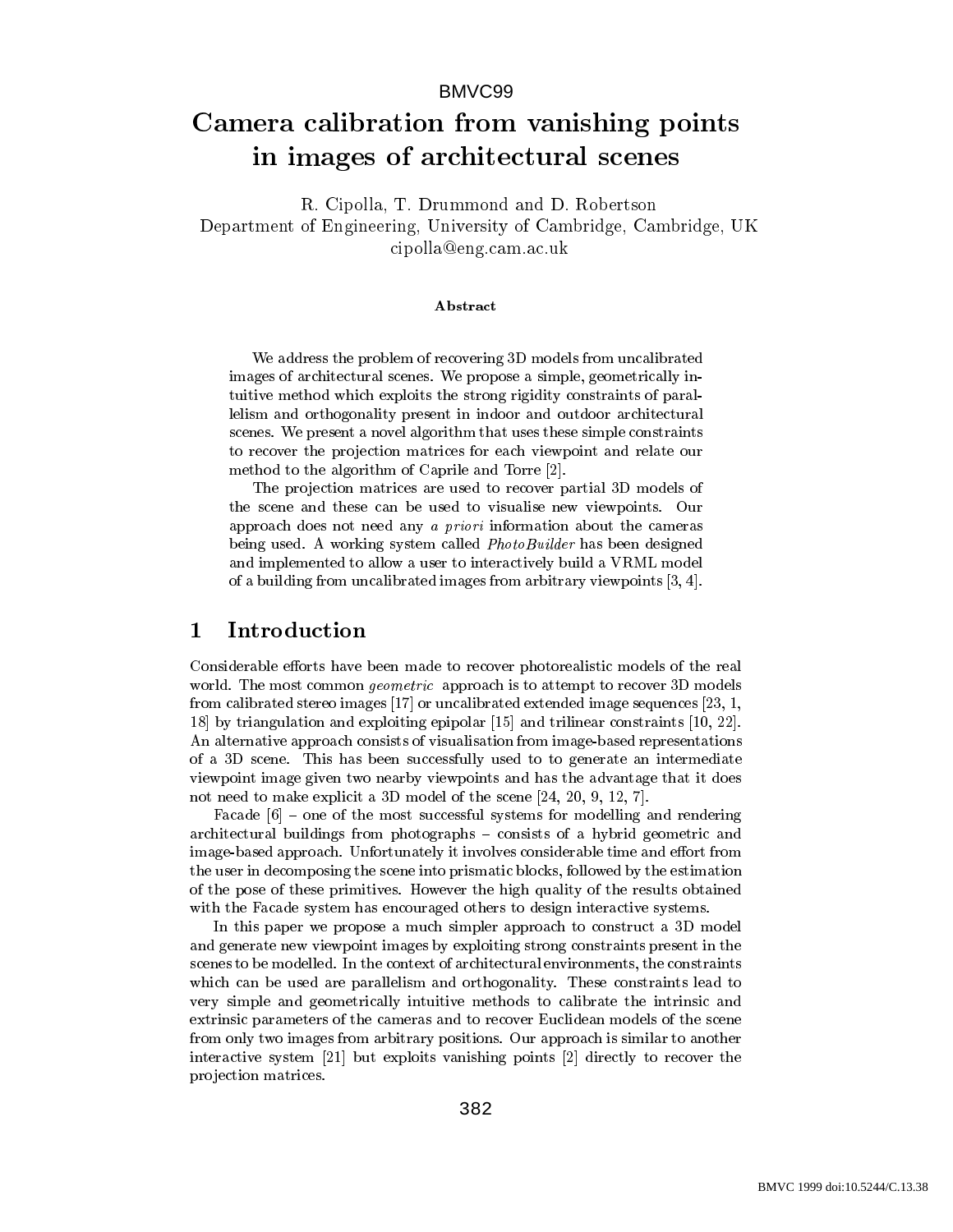# Camera calibration from vanishing points in images of architectural scenes

R. Cipolla, T. Drummond and D. Robertson Department of Engineering, University of Cambridge, Cambridge, UK cipolla@eng.cam.ac.uk

## Abstract

We address the problem of recovering 3D models from uncalibrated images of architectural scenes. We propose a simple, geometrically intuitive method which exploits the strong rigidity constraints of parallelism and orthogonality present in indoor and outdoor architectural scenes. We present a novel algorithm that uses these simple constraints to recover the projection matrices for each viewpoint and relate our method to the algorithm of Caprile and Torre [2].

The projection matrices are used to recover partial 3D models of the scene and these can be used to visualise new viewpoints. Our approach does not need any <sup>a</sup> priori information about the cameras being used. A working system called *PhotoBuilder* has been designed and implemented to allow a user to interactively build a VRML model of a building from uncalibrated images from arbitrary viewpoints [3, 4].

Considerable efforts have been made to recover photorealistic models of the real world. The most common *geometric* approach is to attempt to recover 3D models from calibrated stereo images [17] or uncalibrated extended image sequences [23, 1, 18] by triangulation and exploiting epipolar [15] and trilinear constraints [10, 22]. An alternative approach consists of visualisation from image-based representations of a 3D scene. This has been successfully used to to generate an intermediate viewpoint image given two nearby viewpoints and has the advantage that it does not need to make explicit a 3D model of the scene [24, 20, 9, 12, 7].

Facade  $[6]$  – one of the most successful systems for modelling and rendering architectural buildings from photographs – consists of a hybrid geometric and image-based approach. Unfortunately it involves considerable time and effort from the user in decomposing the scene into prismatic blocks, followed by the estimation of the pose of these primitives. However the high quality of the results obtained with the Facade system has encouraged others to design interactive systems.

In this paper we propose a much simpler approach to construct a 3D model and generate new viewpoint images by exploiting strong constraints present in the scenes to be modelled. In the context of architectural environments, the constraints which can be used are parallelism and orthogonality. These constraints lead to very simple and geometrically intuitive methods to calibrate the intrinsic and extrinsic parameters of the cameras and to recover Euclidean models of the scene from only two images from arbitrary positions. Our approach is similar to another interactive system [21] but exploits vanishing points [2] directly to recover the pro jection matrices.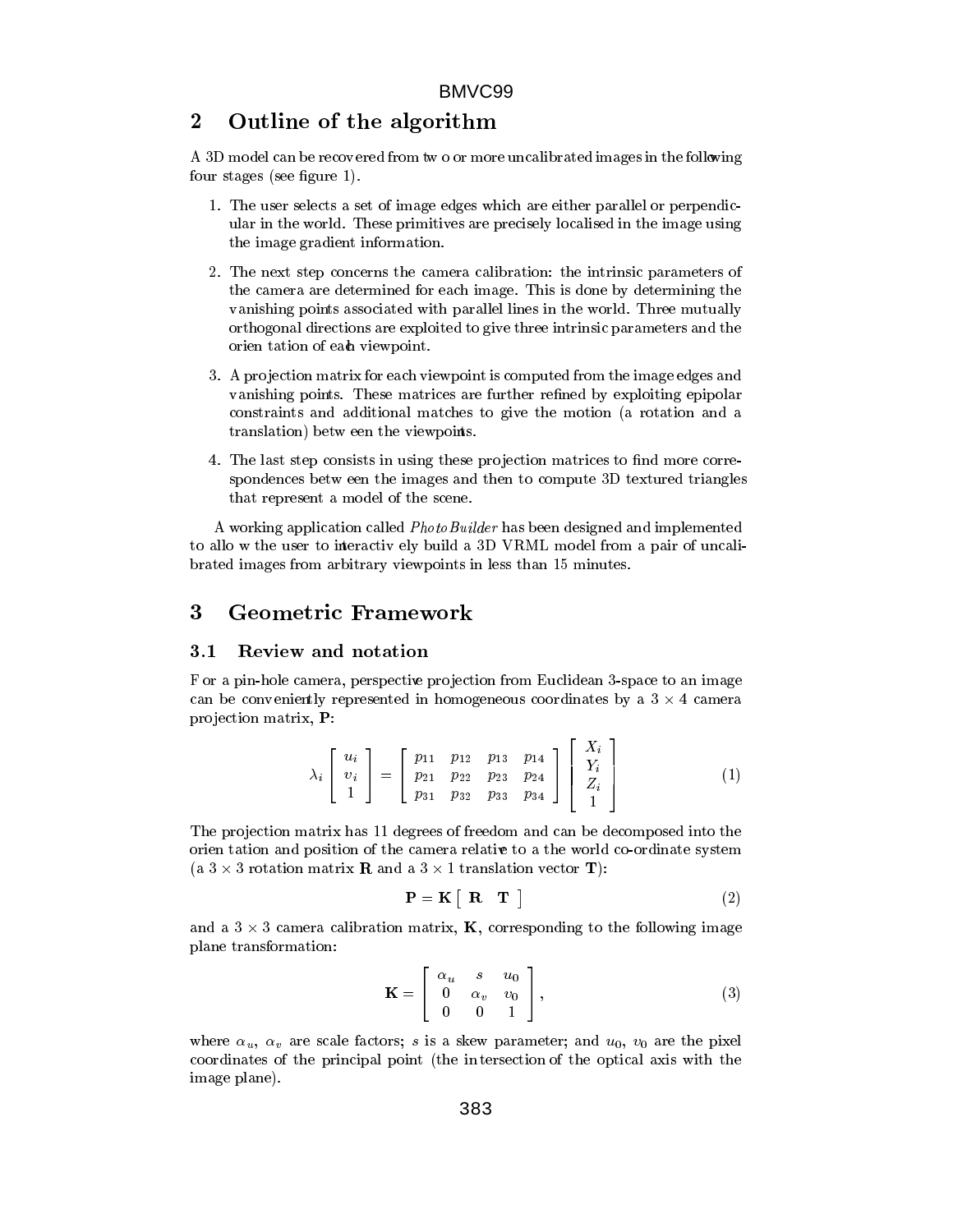### 2Outline of the algorithm

A 3D model can be recov ered from tw o or more uncalibrated images in the following four stages (see figure 1).

- 1. The user selects a set of image edges which are either parallel or perpendicular in the world. These primitives are precisely localised in the image using the image gradient information.
- 2. The next step concerns the camera calibration: the intrinsic parameters of the camera are determined for each image. This is done by determining the vanishing points associated with parallel lines in the world. Three mutually orthogonal directions are exploited to give three intrinsic parameters and the orien tation of each viewpoint.
- 3. A projection matrix for each viewpoint is computed from the image edges and vanishing points. These matrices are further refined by exploiting epipolar constraints and additional matches to give the motion (a rotation and a translation) betw een the viewpoints.
- 4. The last step consists in using these projection matrices to find more correspondences betw een the images and then to compute 3D textured triangles that represent a model of the scene.

A working application called PhotoBuilder has been designed and implemented to allo w the user to interactiv ely build a 3D VRML model from a pair of uncalibrated images from arbitrary viewpoints in less than 15 minutes.

### 3 Geometric Framework

#### Review and notation  $3.1$

F or a pin-hole camera, perspective projection from Euclidean 3-space to an image can be convented in homogeneous conventions and in homogeneous coordinates by a 3 - 4 camerates by a 3 - 4 camerates projection matrix, P:

$$
\lambda_i \begin{bmatrix} u_i \\ v_i \\ 1 \end{bmatrix} = \begin{bmatrix} p_{11} & p_{12} & p_{13} & p_{14} \\ p_{21} & p_{22} & p_{23} & p_{24} \\ p_{31} & p_{32} & p_{33} & p_{34} \end{bmatrix} \begin{bmatrix} X_i \\ Y_i \\ Z_i \\ 1 \end{bmatrix}
$$
 (1)

The projection matrix has 11 degrees of freedom and can be decomposed into the orien tation and position of the camera relative to a the world co-ordinate system (a 3 - 3 rotation matrix <sup>R</sup> and a 3 - 1 translation vector T):

$$
\mathbf{P} = \mathbf{K} \begin{bmatrix} \mathbf{R} & \mathbf{T} \end{bmatrix} \tag{2}
$$

<sup>2</sup>

<sup>3</sup>

 $\ldots$  ,  $\ldots$  can true calibration images in  $\ldots$ plane transformation:

$$
\mathbf{K} = \left[ \begin{array}{ccc} \alpha_u & s & u_0 \\ 0 & \alpha_v & v_0 \\ 0 & 0 & 1 \end{array} \right],
$$
 (3)

where  $\alpha_u$ ,  $\alpha_v$  are scale factors; s is a skew parameter; and  $u_0$ ,  $v_0$  are the pixel coordinates of the principal point (the in tersection of the optical axis with the image plane).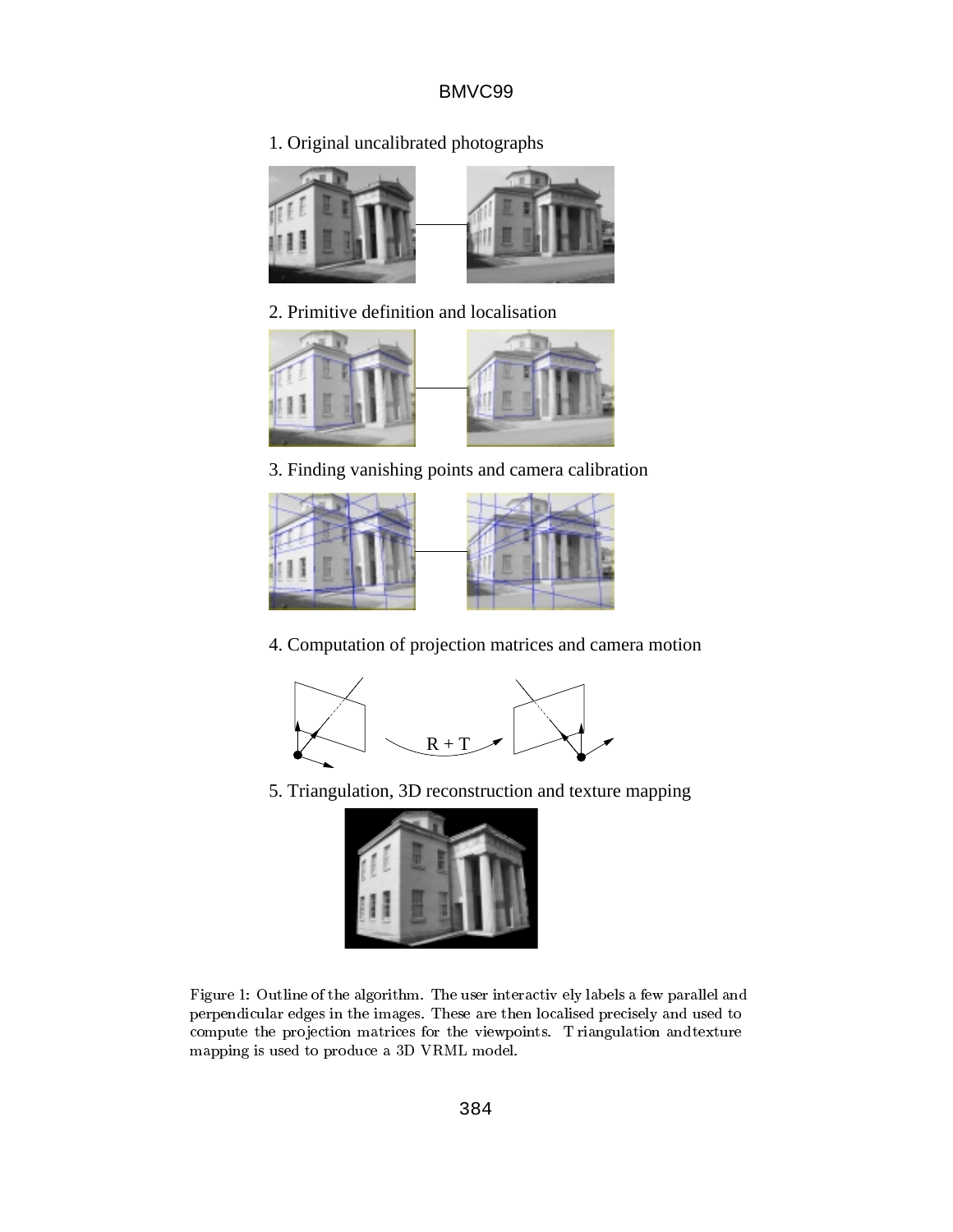1. Original uncalibrated photographs



2. Primitive definition and localisation



3. Finding vanishing points and camera calibration



4. Computation of projection matrices and camera motion



5. Triangulation, 3D reconstruction and texture mapping



Figure 1: Outline of the algorithm. The user interactiv ely labels a few parallel and perpendicular edges in the images. These are then localised precisely and used to compute the projection matrices for the viewpoints. T riangulation and texture mapping is used to produce a 3D VRML model.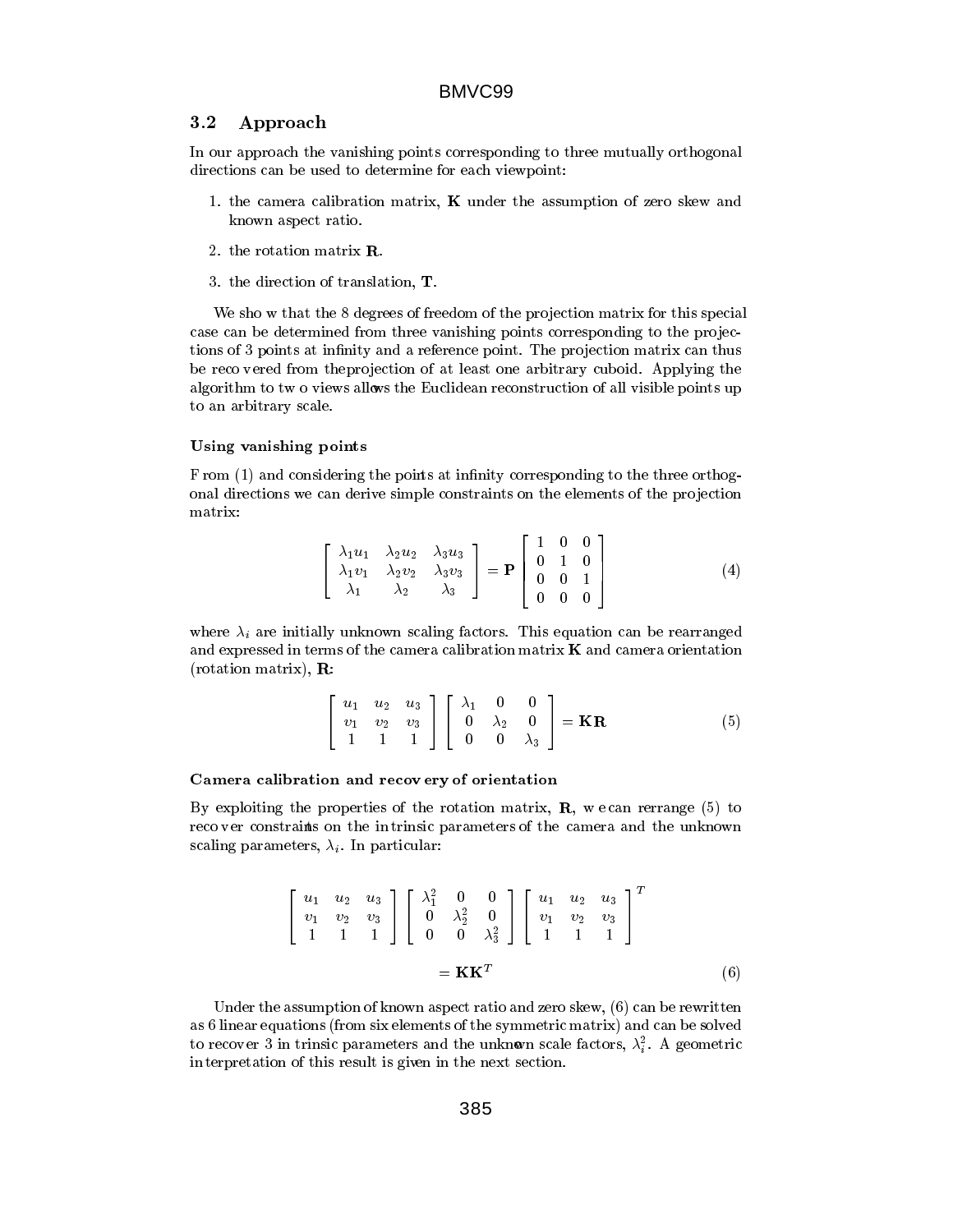#### $3.2$ Approach

In our approach the vanishing points corresponding to three mutually orthogonal directions can be used to determine for each viewpoint:

- 1. the camera calibration matrix,  $K$  under the assumption of zero skew and known aspect ratio.
- 2. the rotation matrix R.
- 3. the direction of translation, T.

We sho w that the 8 degrees of freedom of the projection matrix for this special case can be determined from three vanishing points corresponding to the projections of 3 points at infinity and a reference point. The projection matrix can thus be reco vered from the projection of at least one arbitrary cuboid. Applying the algorithm to tw o views allows the Euclidean reconstruction of all visible points up to an arbitrary scale.

### Using vanishing points

F rom (1) and considering the points at infinity corresponding to the three orthogonal directions we can derive simple constraints on the elements of the pro jection matrix:

$$
\begin{bmatrix}\n\lambda_1 u_1 & \lambda_2 u_2 & \lambda_3 u_3 \\
\lambda_1 v_1 & \lambda_2 v_2 & \lambda_3 v_3 \\
\lambda_1 & \lambda_2 & \lambda_3\n\end{bmatrix} = \mathbf{P} \begin{bmatrix}\n1 & 0 & 0 \\
0 & 1 & 0 \\
0 & 0 & 1 \\
0 & 0 & 0\n\end{bmatrix}
$$
\n(4)

<u>2000 - 2000 - 2000 - 2000 - 2000 - 2000 - 2000 - 2000 - 2000 - 2000 - 2000 - 2000 - 2000 - 2000 - 2000 - 200</u>

<sup>3</sup>

where  $\lambda_i$  are initially unknown scaling factors. This equation can be rearranged and expressed in terms of the camera calibration matrix <sup>K</sup> and camera orientation  $(22.21222222222222)$ ,  $-2$ 

$$
\begin{bmatrix} u_1 & u_2 & u_3 \ v_1 & v_2 & v_3 \ 1 & 1 & 1 \end{bmatrix} \begin{bmatrix} \lambda_1 & 0 & 0 \ 0 & \lambda_2 & 0 \ 0 & 0 & \lambda_3 \end{bmatrix} = \mathbf{KR} \tag{5}
$$

### Camera calibration and recov ery of orientation

By exploiting the properties of the rotation matrix,  $\bf{R}$ , w e can rerrange (5) to reco ver constraints on the intrinsic parameters of the camera and the unknown scaling parameters,  $\lambda_i$ . In particular:

$$
\begin{bmatrix} u_1 & u_2 & u_3 \ v_1 & v_2 & v_3 \ 1 & 1 & 1 \end{bmatrix} \begin{bmatrix} \lambda_1^2 & 0 & 0 \ 0 & \lambda_2^2 & 0 \ 0 & 0 & \lambda_3^2 \end{bmatrix} \begin{bmatrix} u_1 & u_2 & u_3 \ v_1 & v_2 & v_3 \ 1 & 1 & 1 \end{bmatrix}^{T}
$$

$$
= \mathbf{K} \mathbf{K}^{T}
$$
(6)

Under the assumption of known aspect ratio and zero skew, (6) can be rewritten as 6 linear equations (from six elements of the symmetric matrix) and can be solved to recover 3 in trinsic parameters and the unknown scale factors,  $\lambda_i^\tau.$  A geometric in terpretation of this result is given in the next section.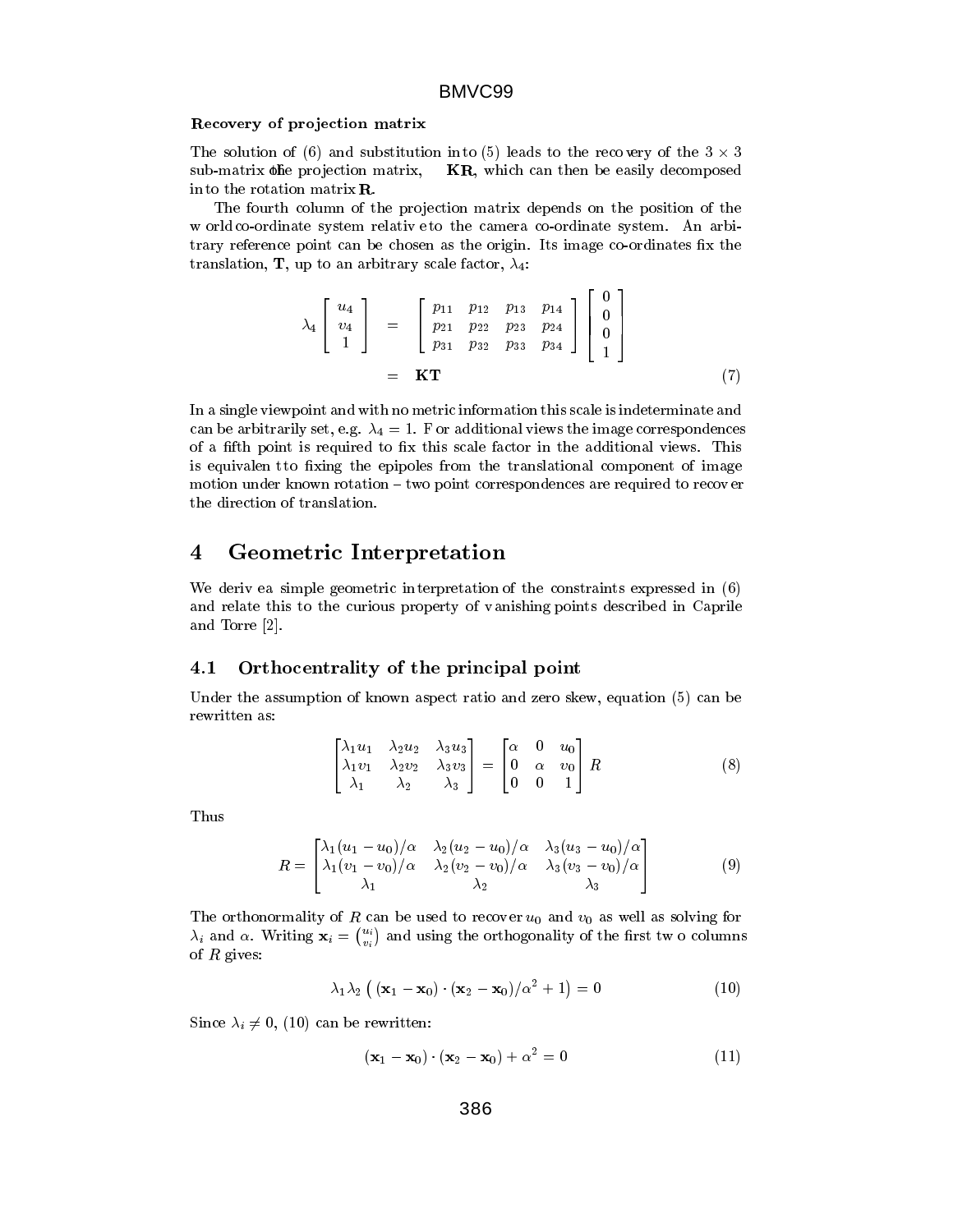### Recovery of pro jection matrix

The solution of (6) and substitution into (5) leads to the recovery of the  $3 \times 3$ sub-matrix  $\phi$ he projection matrix,  $KR$ , which can then be easily decomposed in to the rotation matrixR.

The fourth column of the projection matrix depends on the position of the w orld co-ordinate system relative to the camera co-ordinate system. An arbitrary reference point can be chosen as the origin. Its image co-ordinates fix the translation, **T**, up to an arbitrary scale factor,  $\lambda_4$ :

$$
\lambda_4 \begin{bmatrix} u_4 \\ v_4 \\ 1 \end{bmatrix} = \begin{bmatrix} p_{11} & p_{12} & p_{13} & p_{14} \\ p_{21} & p_{22} & p_{23} & p_{24} \\ p_{31} & p_{32} & p_{33} & p_{34} \end{bmatrix} \begin{bmatrix} 0 \\ 0 \\ 0 \\ 1 \end{bmatrix}
$$
\n
$$
= \mathbf{KT} \tag{7}
$$

 $2.22$   $2.22$   $2.22$   $2.22$   $2.22$   $2.22$   $2.22$   $2.22$   $2.22$   $2.22$   $2.22$   $2.22$   $2.22$   $2.22$   $2.22$   $2.22$   $2.22$   $2.22$   $2.22$   $2.22$   $2.22$   $2.22$   $2.22$   $2.22$   $2.22$   $2.22$   $2.22$   $2.22$   $2.22$   $2.22$   $2.22$   $2.2$ 

<u>33 and 33 and 33 and 33 and 33 and 33 and 33 and 33 and 33 and 33 and 33 and 33 and 33 and 33 and 33 and 33 and</u>

In a single viewpoint and with no metric information this scale is indeterminate and can be arbitrarily set, e.g.  $\lambda_4 = 1$ . F or additional views the image correspondences of a fifth point is required to fix this scale factor in the additional views. This is equivalent to fixing the epipoles from the translational component of image motion under known rotation  $-$  two point correspondences are required to recover the direction of translation.

## Geometric Interpretation

We deriv ea simple geometric in terpretation of the constraints expressed in  $(6)$ and relate this to the curious property of vanishing points described in Caprile and Torre [2].

## 4.1 Orthocentrality of the principal point

Under the assumption of known aspect ratio and zero skew, equation (5) can be rewritten as:

$$
\begin{bmatrix}\n\lambda_1 u_1 & \lambda_2 u_2 & \lambda_3 u_3 \\
\lambda_1 v_1 & \lambda_2 v_2 & \lambda_3 v_3 \\
\lambda_1 & \lambda_2 & \lambda_3\n\end{bmatrix} = \begin{bmatrix}\n\alpha & 0 & u_0 \\
0 & \alpha & v_0 \\
0 & 0 & 1\n\end{bmatrix} R
$$
\n(8)

Thus

$$
R = \begin{bmatrix} \lambda_1 (u_1 - u_0)/\alpha & \lambda_2 (u_2 - u_0)/\alpha & \lambda_3 (u_3 - u_0)/\alpha \\ \lambda_1 (v_1 - v_0)/\alpha & \lambda_2 (v_2 - v_0)/\alpha & \lambda_3 (v_3 - v_0)/\alpha \\ \lambda_1 & \lambda_2 & \lambda_3 \end{bmatrix}
$$
(9)

The orthonormality of R can be used to recover  $u_0$  and  $v_0$  as well as solving for  $\lambda_i$  and  $\alpha$ . Writing  $\mathbf{x}_i = \left( \begin{smallmatrix} u_i \ v_i \end{smallmatrix} \right)$  and using the orthogonality of the first tw o columns of  $R$  gives:

$$
\lambda_1 \lambda_2 \left( \left( \mathbf{x}_1 - \mathbf{x}_0 \right) \cdot \left( \mathbf{x}_2 - \mathbf{x}_0 \right) / \alpha^2 + 1 \right) = 0 \tag{10}
$$

Since  $\lambda_i \neq 0$ , (10) can be rewritten:

$$
(\mathbf{x}_1 - \mathbf{x}_0) \cdot (\mathbf{x}_2 - \mathbf{x}_0) + \alpha^2 = 0 \tag{11}
$$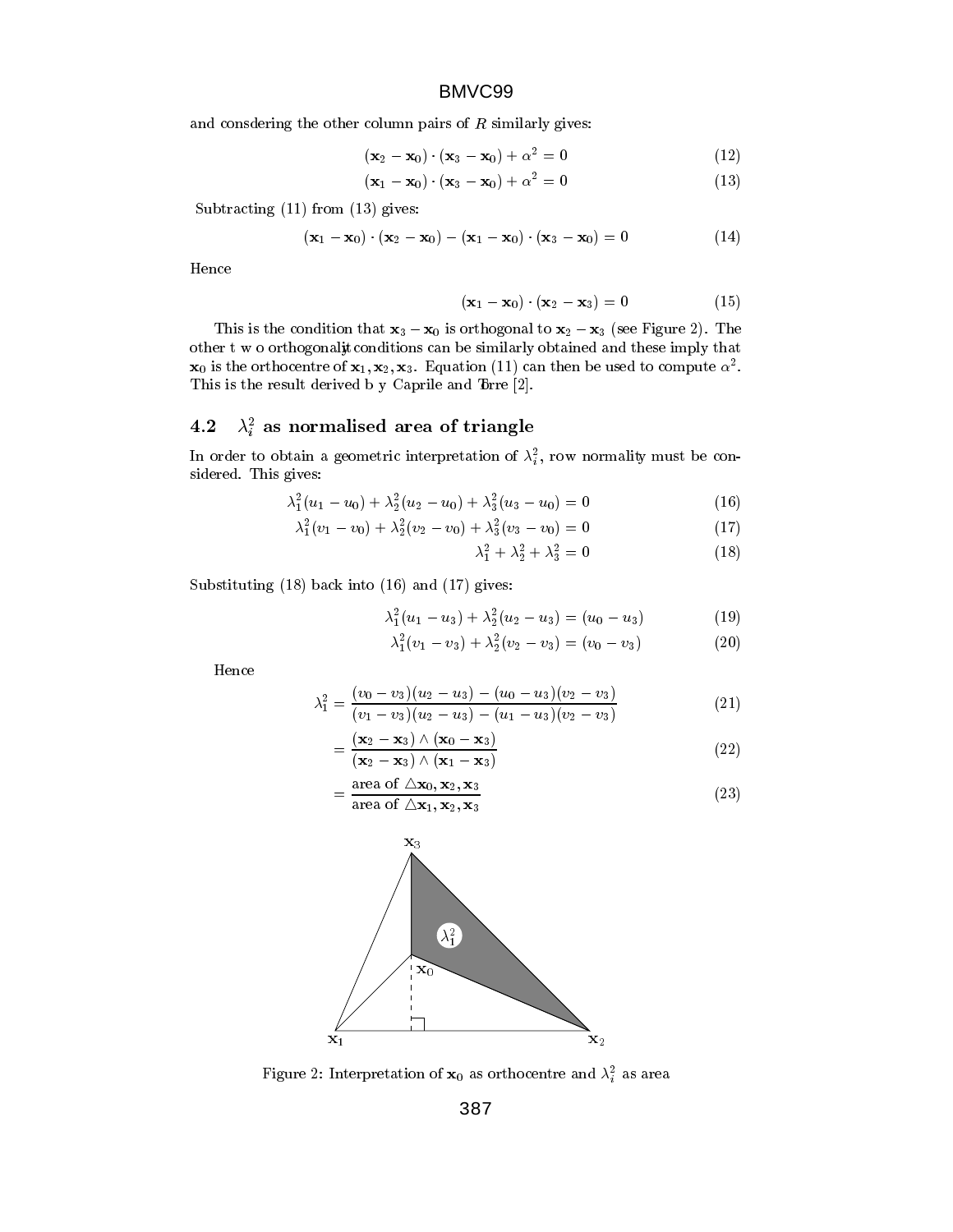and consdering the other column pairs of  $R$  similarly gives:

$$
(\mathbf{x}_2 - \mathbf{x}_0) \cdot (\mathbf{x}_3 - \mathbf{x}_0) + \alpha^2 = 0 \tag{12}
$$

$$
(\mathbf{x}_1 - \mathbf{x}_0) \cdot (\mathbf{x}_3 - \mathbf{x}_0) + \alpha^2 = 0 \tag{13}
$$

Subtracting (11) from (13) gives:

$$
({\bf x}_1 - {\bf x}_0) \cdot ({\bf x}_2 - {\bf x}_0) - ({\bf x}_1 - {\bf x}_0) \cdot ({\bf x}_3 - {\bf x}_0) = 0 \qquad (14)
$$

Hence

$$
(\mathbf{x}_1 - \mathbf{x}_0) \cdot (\mathbf{x}_2 - \mathbf{x}_3) = 0 \tag{15}
$$

This is the condition that  $x_3 - x_0$  is orthogonal to  $x_2 - x_3$  (see Figure 2). The other t w o orthogonality conditions can be similarly obtained and these imply that  ${\bf x}_0$  is the orthocentre of  ${\bf x}_1, {\bf x}_2, {\bf x}_3.$  Equation (11) can then be used to compute  $\alpha^-.$ This is the result derived b y Caprile and Trre [2].

## 4.2  $\lambda_i$  as normalised area of triangle

In order to obtain a geometric interpretation of  $\lambda_i$ , row normality must be considered. This gives:

$$
\lambda_1^2(u_1 - u_0) + \lambda_2^2(u_2 - u_0) + \lambda_3^2(u_3 - u_0) = 0 \tag{16}
$$

$$
\lambda_1^2(v_1 - v_0) + \lambda_2^2(v_2 - v_0) + \lambda_3^2(v_3 - v_0) = 0 \tag{17}
$$

$$
\lambda_1^2 + \lambda_2^2 + \lambda_3^2 = 0 \tag{18}
$$

Substituting (18) back into (16) and (17) gives:

$$
\lambda_1^2(u_1 - u_3) + \lambda_2^2(u_2 - u_3) = (u_0 - u_3) \tag{19}
$$

$$
\lambda_1^2(v_1 - v_3) + \lambda_2^2(v_2 - v_3) = (v_0 - v_3) \tag{20}
$$

Hence

$$
\lambda_1^2 = \frac{(v_0 - v_3)(u_2 - u_3) - (u_0 - u_3)(v_2 - v_3)}{(v_1 - v_3)(u_2 - u_3) - (u_1 - u_3)(v_2 - v_3)}
$$
\n(21)

$$
=\frac{(\mathbf{x}_2-\mathbf{x}_3)\wedge(\mathbf{x}_0-\mathbf{x}_3)}{(\mathbf{x}_2-\mathbf{x}_3)\wedge(\mathbf{x}_1-\mathbf{x}_3)}\tag{22}
$$

$$
=\frac{\text{area of }\triangle \mathbf{x}_0, \mathbf{x}_2, \mathbf{x}_3}{\text{area of }\triangle \mathbf{x}_1, \mathbf{x}_2, \mathbf{x}_3}
$$
(23)



Figure 2: Interpretation of  $\mathbf{x}_0$  as orthocentre and  $\lambda_i^*$  as area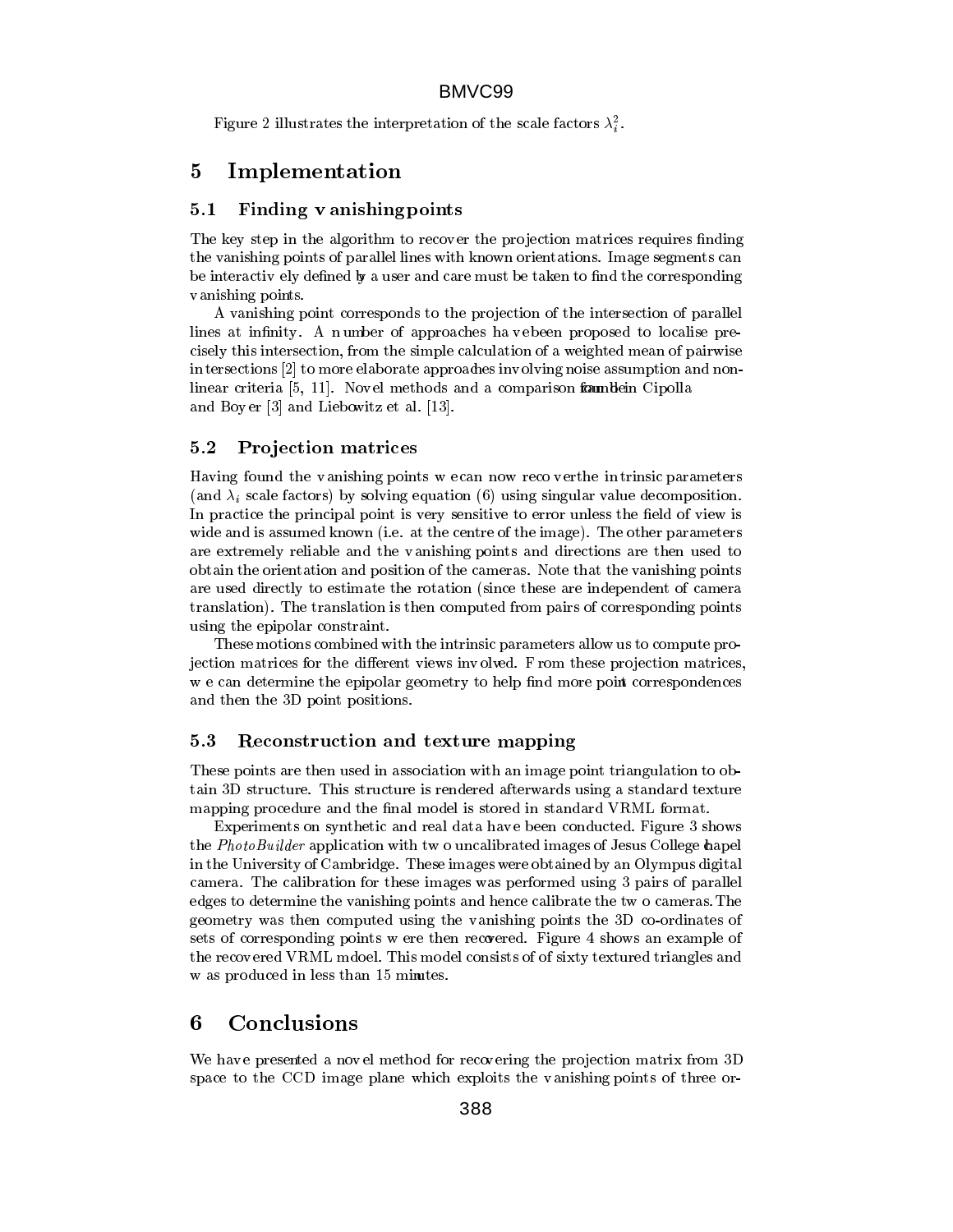in the company of the company of the company of the company of the company of the company of the company of the company of the company of the company of the company of the company of the company of the company of the compa

Figure 2 infustrates the interpretation of the scale factors  $\lambda_i^*$ .

### 5Implementation

## 5.1 Finding v anishing points

The key step in the algorithm to recover the projection matrices requires finding the vanishing points of parallel lines with known orientations. Image segments can be interactively defined by a user and care must be taken to find the corresponding vanishing points.

A vanishing point corresponds to the projection of the intersection of parallel lines at infinity. A number of approaches ha vebeen proposed to localise precisely this intersection, from the simple calculation of a weighted mean of pairwise in tersections [2] to more elaborate approaches involving noise assumption and nonlinear criteria  $[5, 11]$ . Novel methods and a comparison formulation Cipolla and Boy er [3] and Liebowitz et al. [13].

## 5.2 Pro jection matrices

Having found the vanishing points w e can now reco v erthe in trinsic parameters (and  $\lambda_i$  scale factors) by solving equation (6) using singular value decomposition. In practice the principal point is very sensitive to error unless the field of view is wide and is assumed known (i.e. at the centre of the image). The other parameters are extremely reliable and the vanishing points and directions are then used to obtain the orientation and position of the cameras. Note that the vanishing points are used directly to estimate the rotation (since these are independent of camera translation). The translation is then computed from pairs of corresponding points using the epipolar constraint.

These motions combined with the intrinsic parameters allow us to compute projection matrices for the different views involved. F rom these projection matrices w e can determine the epipolar geometry to help find more point correspondences and then the 3D point positions.

## 5.3 Reconstruction and texture mapping

These points are then used in association with an image point triangulation to obtain 3D structure. This structure is rendered afterwards using a standard texture mapping procedure and the final model is stored in standard VRML format.

Experiments on synthetic and real data hav e been conducted. Figure 3 shows the *PhotoBuilder* application with two uncalibrated images of Jesus College chapel in the University of Cambridge. These images were obtained by an Olympus digital camera. The calibration for these images was performed using 3 pairs of parallel edges to determine the vanishing points and hence calibrate the tw o cameras.The geometry was then computed using the vanishing points the 3D co-ordinates of sets of corresponding points w ere then recovered. Figure 4 shows an example of the recov ered VRML mdoel. This model consists of of sixty textured triangles and w as produced in less than 15 minutes.

### 6Conclusions

We have presented a novel method for recovering the projection matrix from 3D space to the CCD image plane which exploits the vanishing points of three or-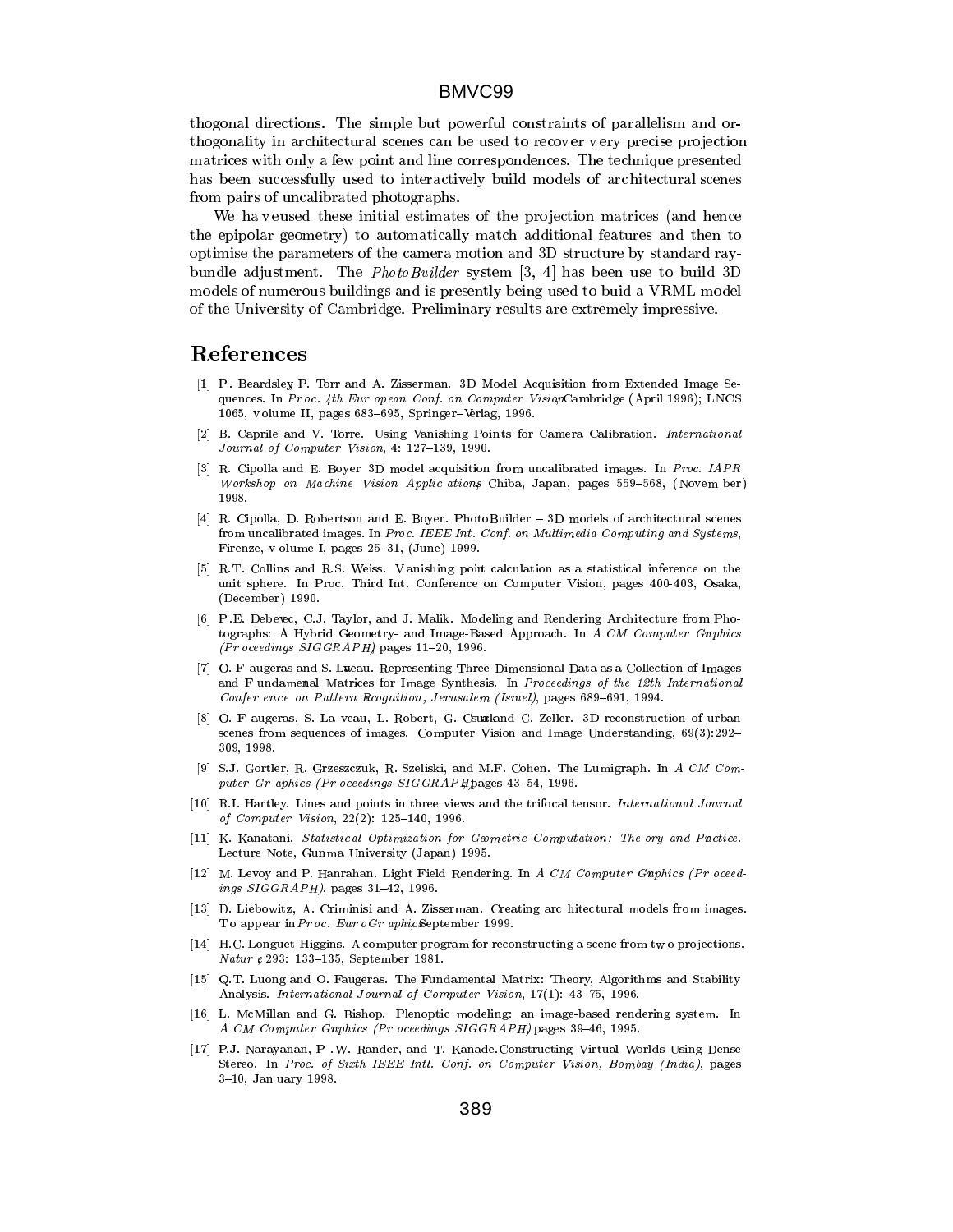thogonal directions. The simple but powerful constraints of parallelism and orthogonality in architectural scenes can be used to recover very precise projection matrices with only a few point and line correspondences. The technique presented has been successfully used to interactively build models of arc hitectural scenes from pairs of uncalibrated photographs.

We ha veused these initial estimates of the projection matrices (and hence the epipolar geometry) to automatically match additional features and then to optimise the parameters of the camera motion and 3D structure by standard raybundle adjustment. The *PhotoBuilder* system [3, 4] has been use to build 3D models of numerous buildings and is presently being used to buid a VRML model of the University of Cambridge. Preliminary results are extremely impressive.

## References

- [1] P . Beardsley, P. Torr and A. Zisserman. 3D Model Acquisition from Extended Image Sequences. In Proc. 4th Eur opean Conf. on Computer VisionCambridge (April 1996); LNCS 1065, v olume II, pages  $683{-}695$ , Springer-Verlag, 1996.
- [2] B. Caprile and V. Torre. Using Vanishing Poin ts for Camera Calibration. International Journal of Computer Vision, 4: 127-139, 1990.
- R. Cipolla and E. Boyer 3D model acquisition from uncalibrated images. In Proc. IAPR Workshop on Machine Vision Applic ations Chiba, Japan, pages 559-568, (Novem ber) 1998.
- [4] R. Cipolla, D. Robertson and E. Boyer. PhotoBuilder 3D models of architectural scenes from uncalibrated images. In Proc. IEEE Int. Conf. on Multimedia Computing and Systems, Firenze, v olume I, pages  $25-31$ , (June) 1999.
- [5] R.T. Collins and R.S. Weiss. V anishing point calculation as a statistical inference on the unit sphere. In Proc. Third Int. Conference on Computer Vision, pages 400-403, Osaka, (December) 1990.
- [6] P .E. Debevec, C.J. Taylor, and J. Malik. Modeling and Rendering Architecture from Photographs: A Hybrid Geometry- and Image-Based Approach. In A CM Computer Graphics  $(Pr$  oceedings  $SIGGRAPH)$  pages 11-20, 1996.
- [7] O. F augeras and S. Laeau. Representing Three-Dimensional Data as a Collection of Images and F undamental Matrices for Image Synthesis. In Proceedings of the 12th International Confer ence on Pattern Recognition, Jerusalem (Israel), pages 689-691, 1994.
- [8] O. F augeras, S. La veau, L. Robert, G. Csuakand C. Zeller. 3D reconstruction of urban scenes from sequences of images. Computer Vision and Image Understanding, 69(3):292-309, 1998.
- [9] S.J. Gortler, R. Grzeszczuk, R. Szeliski, and M.F. Cohen. The Lumigraph. In A CM Computer Gr aphics (Pr oceedings  $SIGGRAPH$ ) pages 43-54, 1996.
- [10] R.I. Hartley. Lines and points in three views and the trifocal tensor. International Journal of Computer Vision, 22(2): 125-140, 1996.
- [11] K. Kanatani. Statistic al Optimization for Geometric Computation: The ory and Pnctice. Lecture Note, Gunma University (Japan) 1995.
- [12] M. Levoy and P. Hanrahan. Light Field Rendering. In A CM Computer Gaphics (Pr oceedings  $SIGGRAPH$ ), pages 31-42, 1996.
- [13] D. Liebowitz, A. Criminisi and A. Zisserman. Creating arc hitectural models from images. To appear in Proc. Euro Graphic September 1999.
- [14] H.C. Longuet-Higgins. A computer program for reconstructing a scene from two projections. Natur e 293: 133-135, September 1981.
- [15] Q.T. Luong and O. Faugeras. The Fundamental Matrix: Theory, Algorithms and Stability Analysis. International Journal of Computer Vision, 17(1): 43-75, 1996.
- [16] L. McMillan and G. Bishop. Plenoptic modeling: an image-based rendering system. In A CM Computer Gaphics (Pr oceedings SIGGRAPH) pages 39-46, 1995.
- [17] P.J. Narayanan, P .W. Rander, and T. Kanade.Constructing Virtual Worlds Using Dense Stereo. In Proc. of Sixth IEEE Intl. Conf. on Computer Vision, Bombay (India), pages 3{10, Jan uary 1998.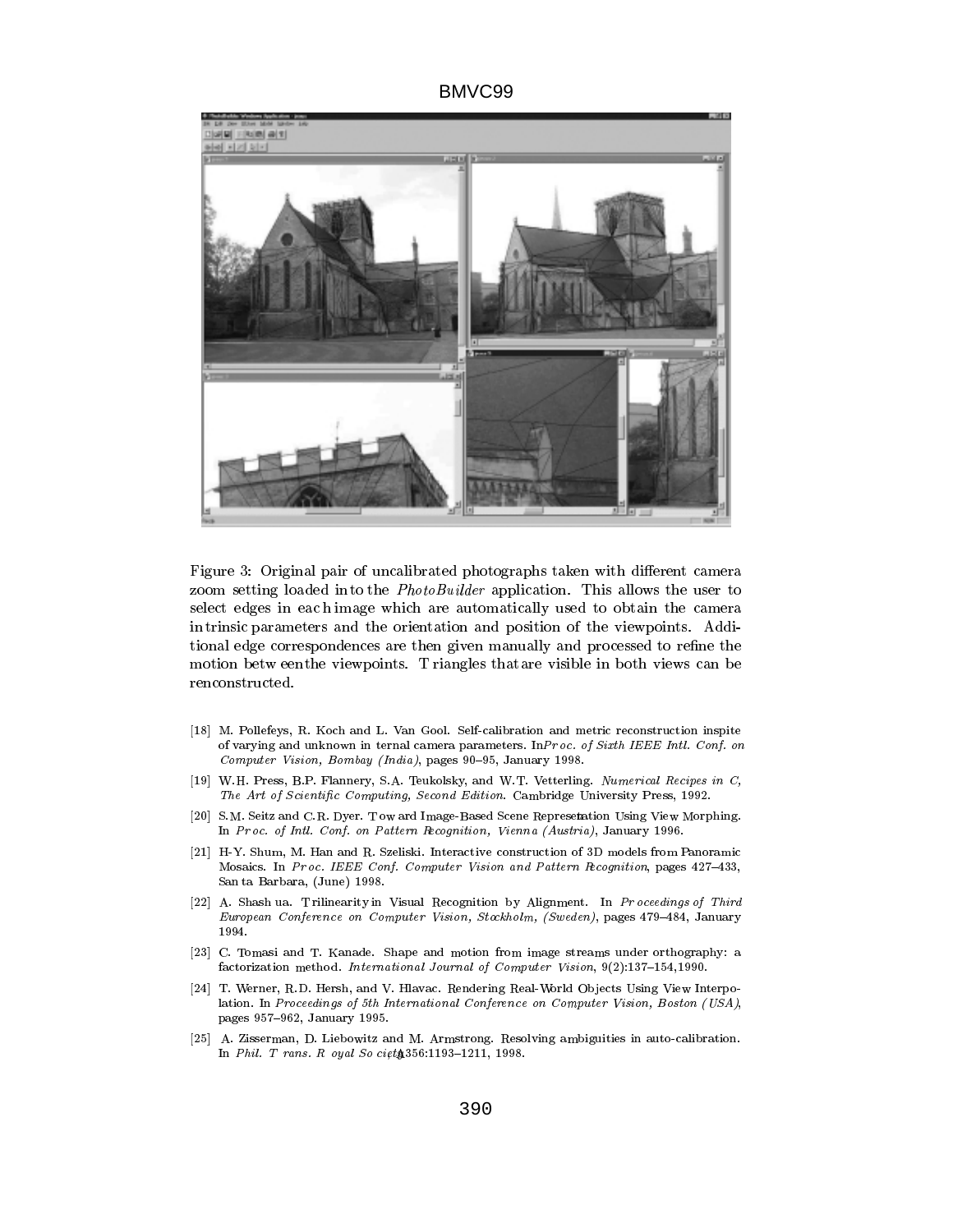

Figure 3: Original pair of uncalibrated photographs taken with different camera zoom setting loaded into the *PhotoBuilder* application. This allows the user to select edges in eac h image which are automatically used to obtain the camera in trinsic parameters and the orientation and position of the viewpoints. Additional edge correspondences are then given manually and processed to refine the motion betw eenthe viewpoints. T riangles thatare visible in both views can be renconstructed.

- [18] M. Pollefeys, R. Koch and L. Van Gool. Self-calibration and metric reconstruction inspite of varying and unknown in ternal camera parameters. InPr oc. of Sixth IEEE Intl. Conf. on Computer Vision, Bombay (India), pages  $90-95$ , January 1998.
- [19] W.H. Press, B.P. Flannery, S.A. Teukolsky, and W.T. Vetterling. Numerical Recipes in C, The Art of Scientific Computing, Second Edition. Cambridge University Press, 1992.
- [20] S.M. Seitz and C.R. Dyer. T ow ard Image-Based Scene Representation Using View Morphing. In Pr oc. of Intl. Conf. on Pattern Recognition, Vienna (Austria), January 1996.
- [21] H-Y. Shum, M. Han and R. Szeliski. Interactive construction of 3D models from Panoramic Mosaics. In Proc. IEEE Conf. Computer Vision and Pattern Recognition, pages 427-433, San ta Barbara, (June) 1998.
- [22] A. Shash ua. T rilinearity in Visual Recognition by Alignment. In Proceedings of Third European Conference on Computer Vision, Stockholm, (Sweden), pages 479-484, January 1994.
- [23] C. Tomasi and T. Kanade. Shape and motion from image streams under orthography: a factorization method. International Journal of Computer Vision,  $9(2):137-154,1990$ .
- [24] T. Werner, R.D. Hersh, and V. Hlavac. Rendering Real-World Ob jects Using View Interpolation. In Proceedings of 5th International Conference on Computer Vision, Boston (USA), pages 957-962, January 1995.
- [25] A. Zisserman, D. Liebowitz and M. Armstrong. Resolving ambiguities in auto-calibration. In Phil. T rans. R oyal So ciet $$356:1193-1211, 1998.$